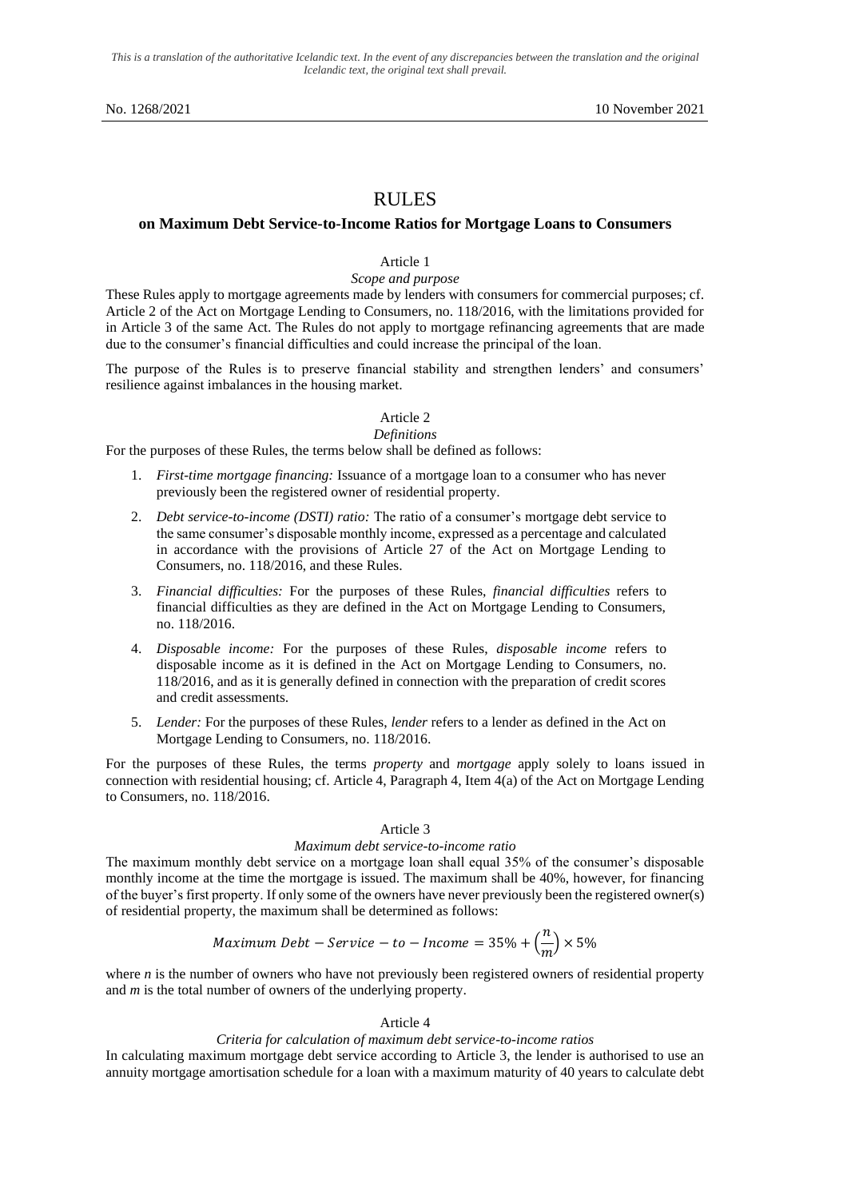*This is a translation of the authoritative Icelandic text. In the event of any discrepancies between the translation and the original Icelandic text, the original text shall prevail.*

# RULES

## **on Maximum Debt Service-to-Income Ratios for Mortgage Loans to Consumers**

## Article 1

### *Scope and purpose*

These Rules apply to mortgage agreements made by lenders with consumers for commercial purposes; cf. Article 2 of the Act on Mortgage Lending to Consumers, no. 118/2016, with the limitations provided for in Article 3 of the same Act. The Rules do not apply to mortgage refinancing agreements that are made due to the consumer's financial difficulties and could increase the principal of the loan.

The purpose of the Rules is to preserve financial stability and strengthen lenders' and consumers' resilience against imbalances in the housing market.

### Article 2 *Definitions*

For the purposes of these Rules, the terms below shall be defined as follows:

- 1. *First-time mortgage financing:* Issuance of a mortgage loan to a consumer who has never previously been the registered owner of residential property.
- 2. *Debt service-to-income (DSTI) ratio:* The ratio of a consumer's mortgage debt service to the same consumer's disposable monthly income, expressed as a percentage and calculated in accordance with the provisions of Article 27 of the Act on Mortgage Lending to Consumers, no. 118/2016, and these Rules.
- 3. *Financial difficulties:* For the purposes of these Rules, *financial difficulties* refers to financial difficulties as they are defined in the Act on Mortgage Lending to Consumers, no. 118/2016.
- 4. *Disposable income:* For the purposes of these Rules, *disposable income* refers to disposable income as it is defined in the Act on Mortgage Lending to Consumers, no. 118/2016, and as it is generally defined in connection with the preparation of credit scores and credit assessments.
- 5. *Lender:* For the purposes of these Rules, *lender* refers to a lender as defined in the Act on Mortgage Lending to Consumers, no. 118/2016.

For the purposes of these Rules, the terms *property* and *mortgage* apply solely to loans issued in connection with residential housing; cf. Article 4, Paragraph 4, Item 4(a) of the Act on Mortgage Lending to Consumers, no. 118/2016.

## Article 3

#### *Maximum debt service-to-income ratio*

The maximum monthly debt service on a mortgage loan shall equal 35% of the consumer's disposable monthly income at the time the mortgage is issued. The maximum shall be 40%, however, for financing of the buyer's first property. If only some of the owners have never previously been the registered owner(s) of residential property, the maximum shall be determined as follows:

Maximum *Debt – Service – to – Income* = 
$$
35\% + \left(\frac{n}{m}\right) \times 5\%
$$

where *n* is the number of owners who have not previously been registered owners of residential property and *m* is the total number of owners of the underlying property.

#### Article 4

### *Criteria for calculation of maximum debt service-to-income ratios*

In calculating maximum mortgage debt service according to Article 3, the lender is authorised to use an annuity mortgage amortisation schedule for a loan with a maximum maturity of 40 years to calculate debt